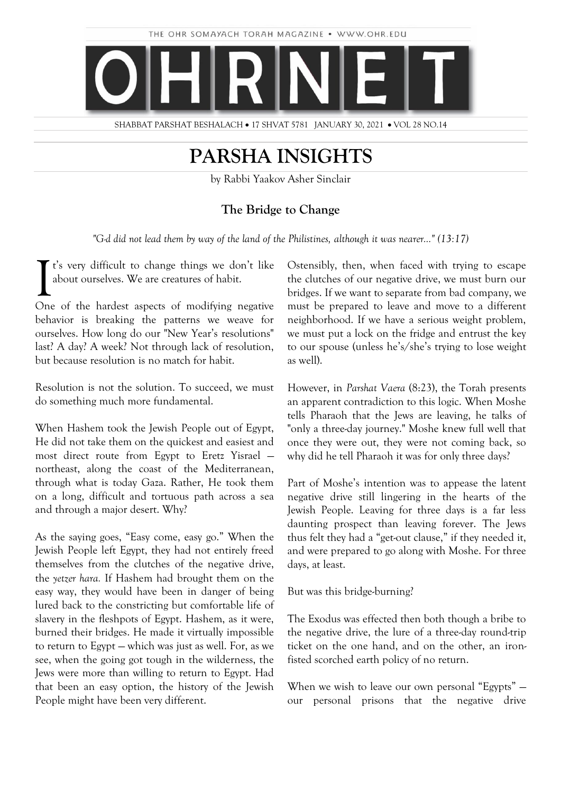

SHABBAT PARSHAT BESHALACH • 17 SHVAT 5781 JANUARY 30, 2021 • VOL 28 NO.14

# **PARSHA INSIGHTS**

by Rabbi Yaakov Asher Sinclair

### **The Bridge to Change**

*"G-d did not lead them by way of the land of the Philistines, although it was nearer…" (13:17)*

t's very difficult to change things we don't like about ourselves. We are creatures of habit.  $\sum$ <sup>t's</sup> very difficult to change things we don't like<br>about ourselves. We are creatures of habit.<br>One of the hardest aspects of modifying negative

behavior is breaking the patterns we weave for ourselves. How long do our "New Year's resolutions" last? A day? A week? Not through lack of resolution, but because resolution is no match for habit.

Resolution is not the solution. To succeed, we must do something much more fundamental.

When Hashem took the Jewish People out of Egypt, He did not take them on the quickest and easiest and most direct route from Egypt to Eretz Yisrael northeast, along the coast of the Mediterranean, through what is today Gaza. Rather, He took them on a long, difficult and tortuous path across a sea and through a major desert. Why?

As the saying goes, "Easy come, easy go." When the Jewish People left Egypt, they had not entirely freed themselves from the clutches of the negative drive, the *yetzer hara.* If Hashem had brought them on the easy way, they would have been in danger of being lured back to the constricting but comfortable life of slavery in the fleshpots of Egypt. Hashem, as it were, burned their bridges. He made it virtually impossible to return to Egypt — which was just as well. For, as we see, when the going got tough in the wilderness, the Jews were more than willing to return to Egypt. Had that been an easy option, the history of the Jewish People might have been very different.

Ostensibly, then, when faced with trying to escape the clutches of our negative drive, we must burn our bridges. If we want to separate from bad company, we must be prepared to leave and move to a different neighborhood. If we have a serious weight problem, we must put a lock on the fridge and entrust the key to our spouse (unless he's/she's trying to lose weight as well).

However, in *Parshat Vaera* (8:23), the Torah presents an apparent contradiction to this logic. When Moshe tells Pharaoh that the Jews are leaving, he talks of "only a three-day journey." Moshe knew full well that once they were out, they were not coming back, so why did he tell Pharaoh it was for only three days?

Part of Moshe's intention was to appease the latent negative drive still lingering in the hearts of the Jewish People. Leaving for three days is a far less daunting prospect than leaving forever. The Jews thus felt they had a "get-out clause," if they needed it, and were prepared to go along with Moshe. For three days, at least.

But was this bridge-burning?

The Exodus was effected then both though a bribe to the negative drive, the lure of a three-day round-trip ticket on the one hand, and on the other, an ironfisted scorched earth policy of no return.

When we wish to leave our own personal "Egypts" – our personal prisons that the negative drive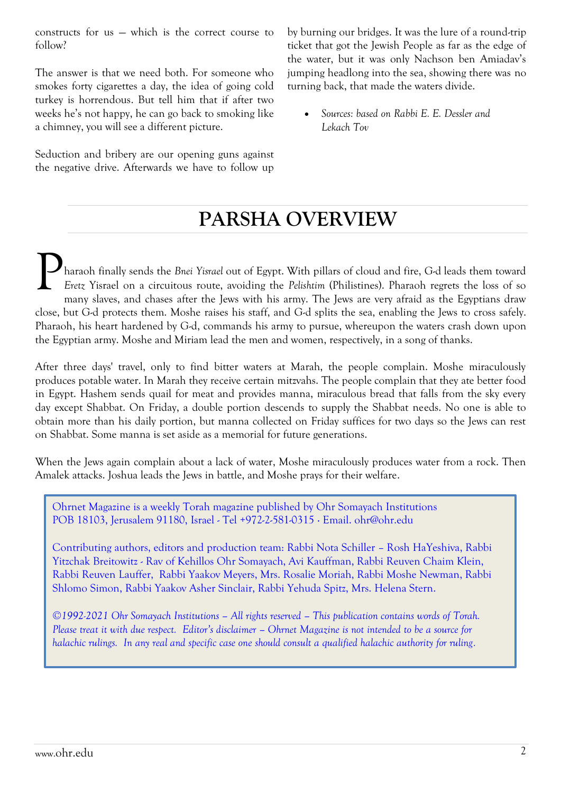constructs for us — which is the correct course to follow?

The answer is that we need both. For someone who smokes forty cigarettes a day, the idea of going cold turkey is horrendous. But tell him that if after two weeks he's not happy, he can go back to smoking like a chimney, you will see a different picture.

Seduction and bribery are our opening guns against the negative drive. Afterwards we have to follow up by burning our bridges. It was the lure of a round-trip ticket that got the Jewish People as far as the edge of the water, but it was only Nachson ben Amiadav's jumping headlong into the sea, showing there was no turning back, that made the waters divide.

 *Sources: based on Rabbi E. E. Dessler and Lekach Tov*

# **PARSHA OVERVIEW**

haraoh finally sends the *Bnei Yisrael* out of Egypt. With pillars of cloud and fire, G-d leads them toward *Eretz* Yisrael on a circuitous route, avoiding the *Pelishtim* (Philistines). Pharaoh regrets the loss of so many slaves, and chases after the Jews with his army. The Jews are very afraid as the Egyptians draw close, but G-d protects them. Moshe raises his staff, and G-d splits the sea, enabling the Jews to cross safely. Pharaoh, his heart hardened by G-d, commands his army to pursue, whereupon the waters crash down upon the Egyptian army. Moshe and Miriam lead the men and women, respectively, in a song of thanks. P

After three days' travel, only to find bitter waters at Marah, the people complain. Moshe miraculously produces potable water. In Marah they receive certain mitzvahs. The people complain that they ate better food in Egypt. Hashem sends quail for meat and provides manna, miraculous bread that falls from the sky every day except Shabbat. On Friday, a double portion descends to supply the Shabbat needs. No one is able to obtain more than his daily portion, but manna collected on Friday suffices for two days so the Jews can rest on Shabbat. Some manna is set aside as a memorial for future generations.

When the Jews again complain about a lack of water, Moshe miraculously produces water from a rock. Then Amalek attacks. Joshua leads the Jews in battle, and Moshe prays for their welfare.

Ohrnet Magazine is a weekly Torah magazine published by Ohr Somayach Institutions POB 18103, Jerusalem 91180, Israel - Tel +972-2-581-0315 ∙ Email. [ohr@ohr.edu](mailto:ohr@ohr.edu)

Contributing authors, editors and production team: Rabbi Nota Schiller – Rosh HaYeshiva, Rabbi Yitzchak Breitowitz - Rav of Kehillos Ohr Somayach, Avi Kauffman, Rabbi Reuven Chaim Klein, Rabbi Reuven Lauffer, Rabbi Yaakov Meyers, Mrs. Rosalie Moriah, Rabbi Moshe Newman, Rabbi Shlomo Simon, Rabbi Yaakov Asher Sinclair, Rabbi Yehuda Spitz, Mrs. Helena Stern.

*©1992-2021 Ohr Somayach Institutions – All rights reserved – This publication contains words of Torah. Please treat it with due respect. Editor's disclaimer – Ohrnet Magazine is not intended to be a source for halachic rulings. In any real and specific case one should consult a qualified halachic authority for ruling.*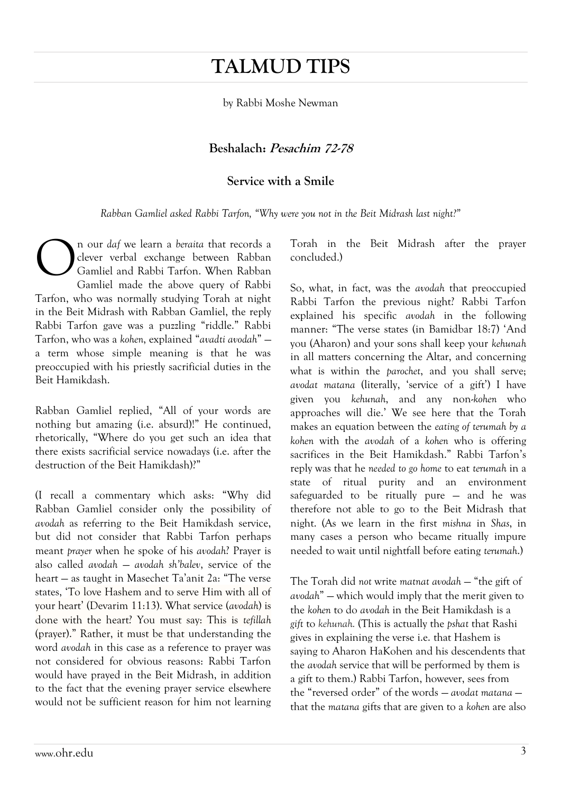# **TALMUD TIPS**

by Rabbi Moshe Newman

### **Beshalach: Pesachim 72-78**

### **Service with a Smile**

*Rabban Gamliel asked Rabbi Tarfon, "Why were you not in the Beit Midrash last night?"*

n our *daf* we learn a *beraita* that records a clever verbal exchange between Rabban Gamliel and Rabbi Tarfon. When Rabban Gamliel made the above query of Rabbi Tarfon, who was normally studying Torah at night in the Beit Midrash with Rabban Gamliel, the reply Rabbi Tarfon gave was a puzzling "riddle." Rabbi Tarfon, who was a *kohen*, explained "*avadti avodah*" a term whose simple meaning is that he was preoccupied with his priestly sacrificial duties in the Beit Hamikdash. O

Rabban Gamliel replied, "All of your words are nothing but amazing (i.e. absurd)!" He continued, rhetorically, "Where do you get such an idea that there exists sacrificial service nowadays (i.e. after the destruction of the Beit Hamikdash)?"

(I recall a commentary which asks: "Why did Rabban Gamliel consider only the possibility of *avodah* as referring to the Beit Hamikdash service, but did not consider that Rabbi Tarfon perhaps meant *prayer* when he spoke of his *avodah*? Prayer is also called *avodah* — *avodah sh'balev*, service of the heart — as taught in Masechet Ta'anit 2a: "The verse states, 'To love Hashem and to serve Him with all of your heart' (Devarim 11:13). What service (*avodah*) is done with the heart? You must say: This is *tefillah* (prayer)." Rather, it must be that understanding the word *avodah* in this case as a reference to prayer was not considered for obvious reasons: Rabbi Tarfon would have prayed in the Beit Midrash, in addition to the fact that the evening prayer service elsewhere would not be sufficient reason for him not learning Torah in the Beit Midrash after the prayer concluded.)

So, what, in fact, was the *avodah* that preoccupied Rabbi Tarfon the previous night? Rabbi Tarfon explained his specific *avodah* in the following manner: "The verse states (in Bamidbar 18:7) 'And you (Aharon) and your sons shall keep your *kehunah* in all matters concerning the Altar, and concerning what is within the *parochet*, and you shall serve; *avodat matana* (literally, 'service of a gift') I have given you *kehunah*, and any non-*kohen* who approaches will die.' We see here that the Torah makes an equation between the *eating of terumah by a kohen* with the *avodah* of a *kohen* who is offering sacrifices in the Beit Hamikdash." Rabbi Tarfon's reply was that he *needed to go home* to eat *terumah* in a state of ritual purity and an environment safeguarded to be ritually pure — and he was therefore not able to go to the Beit Midrash that night. (As we learn in the first *mishna* in *Shas*, in many cases a person who became ritually impure needed to wait until nightfall before eating *terumah*.)

The Torah did not write *matnat avodah* - "the gift of *avodah*" — which would imply that the merit given to the *kohen* to do *avodah* in the Beit Hamikdash is a *gift* to *kehunah.* (This is actually the *pshat* that Rashi gives in explaining the verse i.e. that Hashem is saying to Aharon HaKohen and his descendents that the *avodah* service that will be performed by them is a gift to them.) Rabbi Tarfon, however, sees from the "reversed order" of the words — *avodat matana* that the *matana* gifts that are given to a *kohen* are also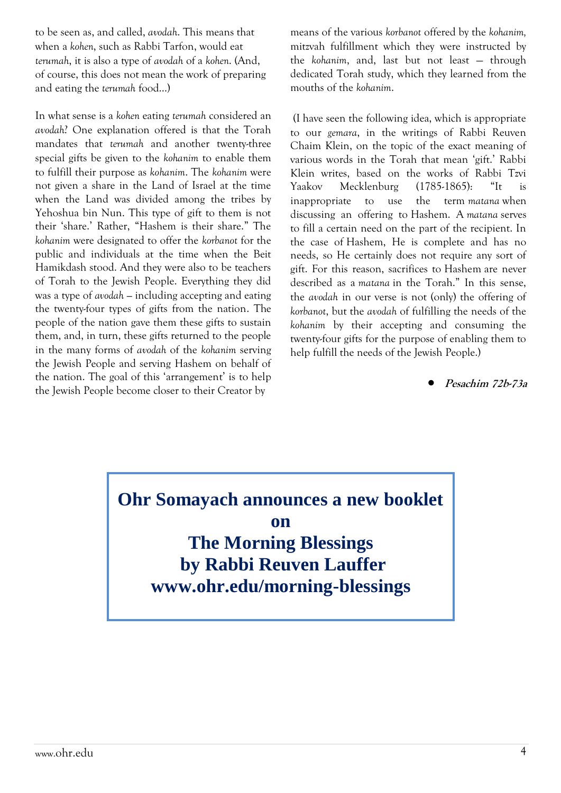to be seen as, and called, *avodah*. This means that when a *kohen*, such as Rabbi Tarfon, would eat *terumah*, it is also a type of *avodah* of a *kohen*. (And, of course, this does not mean the work of preparing and eating the *terumah* food…)

In what sense is a *kohen* eating *terumah* considered an *avodah*? One explanation offered is that the Torah mandates that *terumah* and another twenty-three special gifts be given to the *kohanim* to enable them to fulfill their purpose as *kohanim*. The *kohanim* were not given a share in the Land of Israel at the time when the Land was divided among the tribes by Yehoshua bin Nun. This type of gift to them is not their 'share.' Rather, "Hashem is their share." The *kohanim* were designated to offer the *korbanot* for the public and individuals at the time when the Beit Hamikdash stood. And they were also to be teachers of Torah to the Jewish People. Everything they did was a type of *avodah —* including accepting and eating the twenty-four types of gifts from the nation. The people of the nation gave them these gifts to sustain them, and, in turn, these gifts returned to the people in the many forms of *avodah* of the *kohanim* serving the Jewish People and serving Hashem on behalf of the nation. The goal of this 'arrangement' is to help the Jewish People become closer to their Creator by

means of the various *korbanot* offered by the *kohanim,* mitzvah fulfillment which they were instructed by the *kohanim*, and, last but not least — through dedicated Torah study, which they learned from the mouths of the *kohanim*.

(I have seen the following idea, which is appropriate to our *gemara*, in the writings of Rabbi Reuven Chaim Klein, on the topic of the exact meaning of various words in the Torah that mean 'gift.' Rabbi Klein writes, based on the works of Rabbi Tzvi Yaakov Mecklenburg (1785-1865): "It is inappropriate to use the term *matana* when discussing an offering to Hashem. A *matana* serves to fill a certain need on the part of the recipient. In the case of Hashem, He is complete and has no needs, so He certainly does not require any sort of gift. For this reason, sacrifices to Hashem are never described as a *matana* in the Torah." In this sense, the *avodah* in our verse is not (only) the offering of *korbanot*, but the *avodah* of fulfilling the needs of the *kohanim* by their accepting and consuming the twenty-four gifts for the purpose of enabling them to help fulfill the needs of the Jewish People.)

**Pesachim 72b-73a**

### **Ohr Somayach announces a new booklet on**

**The Morning Blessings by Rabbi Reuven Lauffer www[.ohr.edu/morning-blessings](http://ohr.edu/morning-blessings)**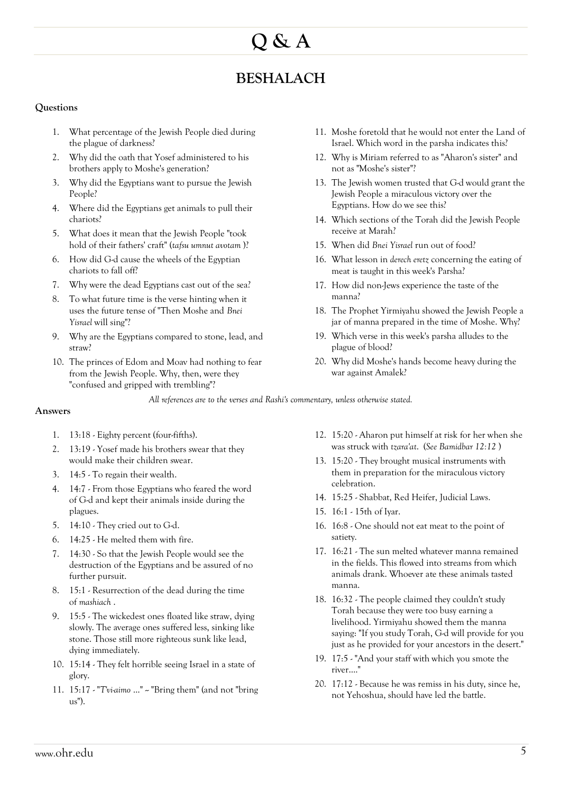# **Q & A**

### **BESHALACH**

#### **Questions**

- 1. What percentage of the Jewish People died during the plague of darkness?
- 2. Why did the oath that Yosef administered to his brothers apply to Moshe's generation?
- 3. Why did the Egyptians want to pursue the Jewish People?
- 4. Where did the Egyptians get animals to pull their chariots?
- 5. What does it mean that the Jewish People "took hold of their fathers' craft" (*tafsu umnut avotam* )?
- 6. How did G-d cause the wheels of the Egyptian chariots to fall off?
- 7. Why were the dead Egyptians cast out of the sea?
- 8. To what future time is the verse hinting when it uses the future tense of "Then Moshe and *Bnei Yisrael* will sing"?
- 9. Why are the Egyptians compared to stone, lead, and straw?
- 10. The princes of Edom and Moav had nothing to fear from the Jewish People. Why, then, were they "confused and gripped with trembling"?
- 11. Moshe foretold that he would not enter the Land of Israel. Which word in the parsha indicates this?
- 12. Why is Miriam referred to as "Aharon's sister" and not as "Moshe's sister"?
- 13. The Jewish women trusted that G-d would grant the Jewish People a miraculous victory over the Egyptians. How do we see this?
- 14. Which sections of the Torah did the Jewish People receive at Marah?
- 15. When did *Bnei Yisrael* run out of food?
- 16. What lesson in *derech eretz* concerning the eating of meat is taught in this week's Parsha?
- 17. How did non-Jews experience the taste of the manna?
- 18. The Prophet Yirmiyahu showed the Jewish People a jar of manna prepared in the time of Moshe. Why?
- 19. Which verse in this week's parsha alludes to the plague of blood?
- 20. Why did Moshe's hands become heavy during the war against Amalek?

*All references are to the verses and Rashi's commentary, unless otherwise stated.*

#### **Answers**

- 1. 13:18 Eighty percent (four-fifths).
- 2. 13:19 Yosef made his brothers swear that they would make their children swear.
- 3. 14:5 To regain their wealth.
- 4. 14:7 From those Egyptians who feared the word of G-d and kept their animals inside during the plagues.
- 5. 14:10 They cried out to G-d.
- 6. 14:25 He melted them with fire.
- 7. 14:30 So that the Jewish People would see the destruction of the Egyptians and be assured of no further pursuit.
- 8. 15:1 Resurrection of the dead during the time of *mashiach* .
- 9. 15:5 The wickedest ones floated like straw, dying slowly. The average ones suffered less, sinking like stone. Those still more righteous sunk like lead, dying immediately.
- 10. 15:14 They felt horrible seeing Israel in a state of glory.
- 11. 15:17 "*T'vi-aimo* ..." -- "Bring them" (and not "bring us").
- 12. 15:20 Aharon put himself at risk for her when she was struck with *tzara'at*. (*See Bamidbar 12:12* )
- 13. 15:20 They brought musical instruments with them in preparation for the miraculous victory celebration.
- 14. 15:25 Shabbat, Red Heifer, Judicial Laws.
- 15. 16:1 15th of Iyar.
- 16. 16:8 One should not eat meat to the point of satiety.
- 17. 16:21 The sun melted whatever manna remained in the fields. This flowed into streams from which animals drank. Whoever ate these animals tasted manna.
- 18. 16:32 The people claimed they couldn't study Torah because they were too busy earning a livelihood. Yirmiyahu showed them the manna saying: "If you study Torah, G-d will provide for you just as he provided for your ancestors in the desert."
- 19. 17:5 "And your staff with which you smote the river...."
- 20. 17:12 Because he was remiss in his duty, since he, not Yehoshua, should have led the battle.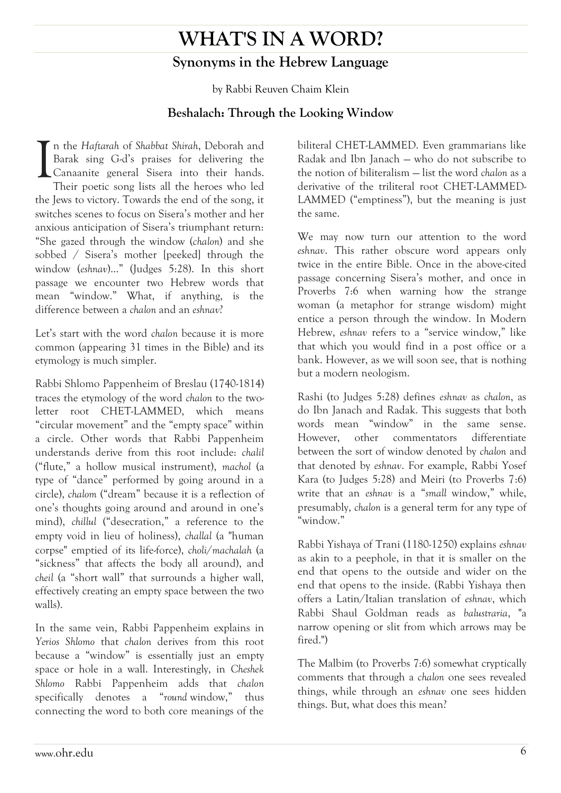# **WHAT'S IN A WORD? Synonyms in the Hebrew Language**

by Rabbi Reuven Chaim Klein

### **Beshalach: Through the Looking Window**

n the *Haftarah* of *Shabbat Shirah*, Deborah and Barak sing G-d's praises for delivering the Canaanite general Sisera into their hands. Their poetic song lists all the heroes who led the Jews to victory. Towards the end of the song, it switches scenes to focus on Sisera's mother and her anxious anticipation of Sisera's triumphant return: "She gazed through the window (*chalon*) and she sobbed / Sisera's mother [peeked] through the window (*eshnav*)…" (Judges 5:28). In this short passage we encounter two Hebrew words that mean "window." What, if anything, is the difference between a *chalon* and an *eshnav*? I

Let's start with the word *chalon* because it is more common (appearing 31 times in the Bible) and its etymology is much simpler.

Rabbi Shlomo Pappenheim of Breslau (1740-1814) traces the etymology of the word *chalon* to the twoletter root CHET-LAMMED, which means "circular movement" and the "empty space" within a circle. Other words that Rabbi Pappenheim understands derive from this root include: *chalil*  ("flute," a hollow musical instrument), *machol* (a type of "dance" performed by going around in a circle), *chalom* ("dream" because it is a reflection of one's thoughts going around and around in one's mind), *chillul* ("desecration," a reference to the empty void in lieu of holiness), *challal* (a "human corpse" emptied of its life-force), *choli*/*machalah* (a "sickness" that affects the body all around), and *cheil* (a "short wall" that surrounds a higher wall, effectively creating an empty space between the two walls).

In the same vein, Rabbi Pappenheim explains in *Yerios Shlomo* that *chalon* derives from this root because a "window" is essentially just an empty space or hole in a wall. Interestingly, in *Cheshek Shlomo* Rabbi Pappenheim adds that *chalon*  specifically denotes a "*round* window," thus connecting the word to both core meanings of the

biliteral CHET-LAMMED. Even grammarians like Radak and Ibn Janach — who do not subscribe to the notion of biliteralism — list the word *chalon* as a derivative of the triliteral root CHET-LAMMED-LAMMED ("emptiness"), but the meaning is just the same.

We may now turn our attention to the word *eshnav*. This rather obscure word appears only twice in the entire Bible. Once in the above-cited passage concerning Sisera's mother, and once in Proverbs 7:6 when warning how the strange woman (a metaphor for strange wisdom) might entice a person through the window. In Modern Hebrew, *eshnav* refers to a "service window," like that which you would find in a post office or a bank. However, as we will soon see, that is nothing but a modern neologism.

Rashi (to Judges 5:28) defines *eshnav* as *chalon*, as do Ibn Janach and Radak. This suggests that both words mean "window" in the same sense. However, other commentators differentiate between the sort of window denoted by *chalon* and that denoted by *eshnav*. For example, Rabbi Yosef Kara (to Judges 5:28) and Meiri (to Proverbs 7:6) write that an *eshnav* is a "*small* window," while, presumably, *chalon* is a general term for any type of "window."

Rabbi Yishaya of Trani (1180-1250) explains *eshnav*  as akin to a peephole, in that it is smaller on the end that opens to the outside and wider on the end that opens to the inside. (Rabbi Yishaya then offers a Latin/Italian translation of *eshnav*, which Rabbi Shaul Goldman reads as *balustraria*, "a narrow opening or slit from which arrows may be fired.")

The Malbim (to Proverbs 7:6) somewhat cryptically comments that through a *chalon* one sees revealed things, while through an *eshnav* one sees hidden things. But, what does this mean?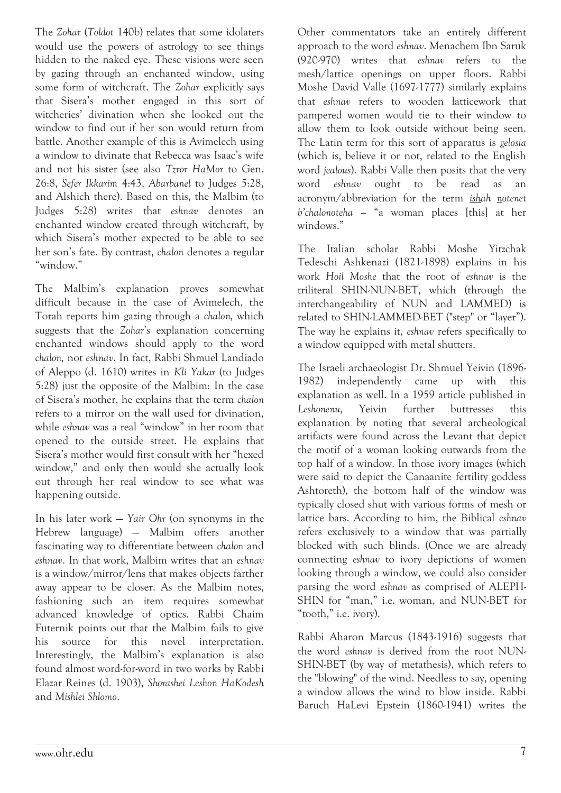The *Zohar* (*Toldot* 140b) relates that some idolaters would use the powers of astrology to see things hidden to the naked eye. These visions were seen by gazing through an enchanted window, using some form of witchcraft. The *Zohar* explicitly says that Sisera's mother engaged in this sort of witcheries' divination when she looked out the window to find out if her son would return from battle. Another example of this is Avimelech using a window to divinate that Rebecca was Isaac's wife and not his sister (see also *Tzror HaMor* to Gen. 26:8, *Sefer Ikkarim* 4:43, *Abarbanel* to Judges 5:28, and Alshich there). Based on this, the Malbim (to Judges 5:28) writes that *eshnav* denotes an enchanted window created through witchcraft, by which Sisera's mother expected to be able to see her son's fate. By contrast, *chalon* denotes a regular "window."

The Malbim's explanation proves somewhat difficult because in the case of Avimelech, the Torah reports him gazing through a *chalon,* which suggests that the *Zohar*'s explanation concerning enchanted windows should apply to the word *chalon,* not *eshnav*. In fact, Rabbi Shmuel Landiado of Aleppo (d. 1610) writes in *Kli Yakar* (to Judges 5:28) just the opposite of the Malbim: In the case of Sisera's mother, he explains that the term *chalon*  refers to a mirror on the wall used for divination, while *eshnav* was a real "window" in her room that opened to the outside street. He explains that Sisera's mother would first consult with her "hexed window," and only then would she actually look out through her real window to see what was happening outside.

In his later work — *Yair Ohr* (on synonyms in the Hebrew language) — Malbim offers another fascinating way to differentiate between *chalon* and *eshnav*. In that work, Malbim writes that an *eshnav*  is a window/mirror/lens that makes objects farther away appear to be closer. As the Malbim notes, fashioning such an item requires somewhat advanced knowledge of optics. Rabbi Chaim Futernik points out that the Malbim fails to give his source for this novel interpretation. Interestingly, the Malbim's explanation is also found almost word-for-word in two works by Rabbi Elazar Reines (d. 1903), *Shorashei Leshon HaKodesh*  and *Mishlei Shlomo*.

Other commentators take an entirely different approach to the word *eshnav*. Menachem Ibn Saruk (920-970) writes that *eshnav* refers to the mesh/lattice openings on upper floors. Rabbi Moshe David Valle (1697-1777) similarly explains that *eshnav* refers to wooden latticework that pampered women would tie to their window to allow them to look outside without being seen. The Latin term for this sort of apparatus is *gelosia*  (which is, believe it or not, related to the English word *jealous*). Rabbi Valle then posits that the very word *eshnav* ought to be read as an acronym/abbreviation for the term *ishah notenet b'chalonoteha —* "a woman places [this] at her windows."

The Italian scholar Rabbi Moshe Yitzchak Tedeschi Ashkenazi (1821-1898) explains in his work *Hoil Moshe* that the root of *eshnav* is the triliteral SHIN-NUN-BET, which (through the interchangeability of NUN and LAMMED) is related to SHIN-LAMMED-BET ("step" or "layer"). The way he explains it, *eshnav* refers specifically to a window equipped with metal shutters.

The Israeli archaeologist Dr. Shmuel Yeivin (1896- 1982) independently came up with this explanation as well. In a 1959 article published in *Leshonenu,* Yeivin further buttresses this explanation by noting that several archeological artifacts were found across the Levant that depict the motif of a woman looking outwards from the top half of a window. In those ivory images (which were said to depict the Canaanite fertility goddess Ashtoreth), the bottom half of the window was typically closed shut with various forms of mesh or lattice bars. According to him, the Biblical *eshnav*  refers exclusively to a window that was partially blocked with such blinds. (Once we are already connecting *eshnav* to ivory depictions of women looking through a window, we could also consider parsing the word *eshnav* as comprised of ALEPH-SHIN for "man," i.e. woman, and NUN-BET for "tooth," i.e. ivory).

Rabbi Aharon Marcus (1843-1916) suggests that the word *eshnav* is derived from the root NUN-SHIN-BET (by way of metathesis), which refers to the "blowing" of the wind. Needless to say, opening a window allows the wind to blow inside. Rabbi Baruch HaLevi Epstein (1860-1941) writes the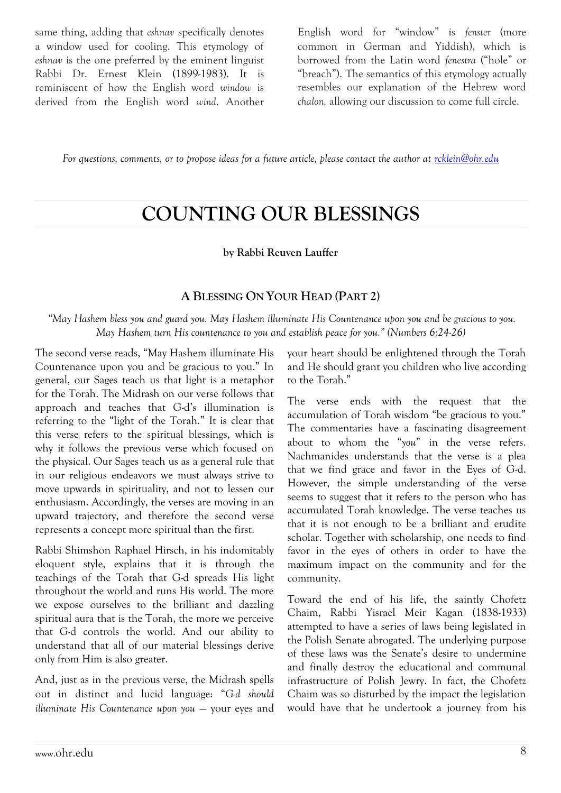same thing, adding that *eshnav* specifically denotes a window used for cooling. This etymology of *eshnav* is the one preferred by the eminent linguist Rabbi Dr. Ernest Klein (1899-1983). It is reminiscent of how the English word *window* is derived from the English word *wind*. Another English word for "window" is *fenster* (more common in German and Yiddish), which is borrowed from the Latin word *fenestra* ("hole" or "breach"). The semantics of this etymology actually resembles our explanation of the Hebrew word *chalon,* allowing our discussion to come full circle.

*For questions, comments, or to propose ideas for a future article, please contact the author at [rcklein@ohr.edu](mailto:rcklein@ohr.edu)*

## **COUNTING OUR BLESSINGS**

#### **by Rabbi Reuven Lauffer**

#### **A BLESSING ON YOUR HEAD (PART 2)**

*"May Hashem bless you and guard you. May Hashem illuminate His Countenance upon you and be gracious to you. May Hashem turn His countenance to you and establish peace for you." (Numbers 6:24-26)*

The second verse reads, "May Hashem illuminate His Countenance upon you and be gracious to you." In general, our Sages teach us that light is a metaphor for the Torah. The Midrash on our verse follows that approach and teaches that G-d's illumination is referring to the "light of the Torah." It is clear that this verse refers to the spiritual blessings, which is why it follows the previous verse which focused on the physical. Our Sages teach us as a general rule that in our religious endeavors we must always strive to move upwards in spirituality, and not to lessen our enthusiasm. Accordingly, the verses are moving in an upward trajectory, and therefore the second verse represents a concept more spiritual than the first.

Rabbi Shimshon Raphael Hirsch, in his indomitably eloquent style, explains that it is through the teachings of the Torah that G-d spreads His light throughout the world and runs His world. The more we expose ourselves to the brilliant and dazzling spiritual aura that is the Torah, the more we perceive that G-d controls the world. And our ability to understand that all of our material blessings derive only from Him is also greater.

And, just as in the previous verse, the Midrash spells out in distinct and lucid language: "*G-d should illuminate His Countenance upon you* — your eyes and your heart should be enlightened through the Torah and He should grant you children who live according to the Torah."

The verse ends with the request that the accumulation of Torah wisdom "be gracious to you." The commentaries have a fascinating disagreement about to whom the "*you*" in the verse refers. Nachmanides understands that the verse is a plea that we find grace and favor in the Eyes of G-d. However, the simple understanding of the verse seems to suggest that it refers to the person who has accumulated Torah knowledge. The verse teaches us that it is not enough to be a brilliant and erudite scholar. Together with scholarship, one needs to find favor in the eyes of others in order to have the maximum impact on the community and for the community.

Toward the end of his life, the saintly Chofetz Chaim, Rabbi Yisrael Meir Kagan (1838-1933) attempted to have a series of laws being legislated in the Polish Senate abrogated. The underlying purpose of these laws was the Senate's desire to undermine and finally destroy the educational and communal infrastructure of Polish Jewry. In fact, the Chofetz Chaim was so disturbed by the impact the legislation would have that he undertook a journey from his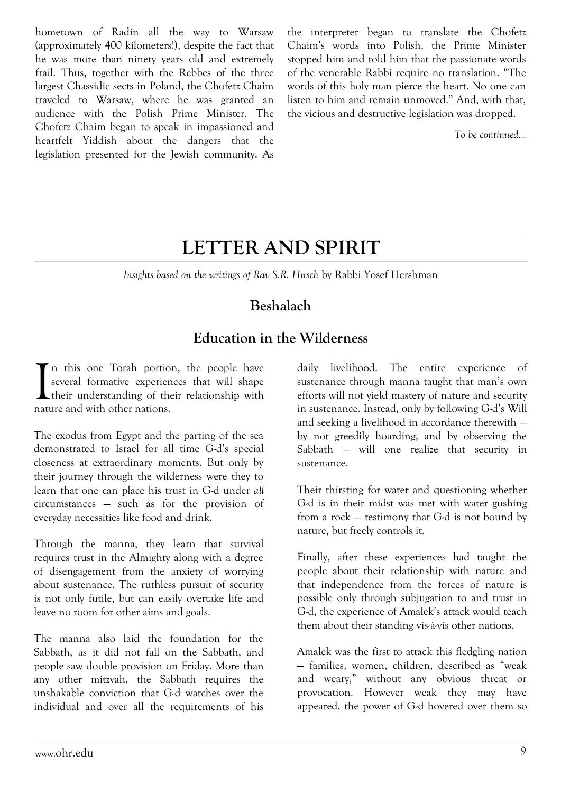hometown of Radin all the way to Warsaw (approximately 400 kilometers!), despite the fact that he was more than ninety years old and extremely frail. Thus, together with the Rebbes of the three largest Chassidic sects in Poland, the Chofetz Chaim traveled to Warsaw, where he was granted an audience with the Polish Prime Minister. The Chofetz Chaim began to speak in impassioned and heartfelt Yiddish about the dangers that the legislation presented for the Jewish community. As the interpreter began to translate the Chofetz Chaim's words into Polish, the Prime Minister stopped him and told him that the passionate words of the venerable Rabbi require no translation. "The words of this holy man pierce the heart. No one can listen to him and remain unmoved." And, with that, the vicious and destructive legislation was dropped.

*To be continued…*

# **LETTER AND SPIRIT**

*Insights based on the writings of Rav S.R. Hirsch* by Rabbi Yosef Hershman

### **Beshalach**

### **Education in the Wilderness**

n this one Torah portion, the people have several formative experiences that will shape their understanding of their relationship with nature and with other nations. I

The exodus from Egypt and the parting of the sea demonstrated to Israel for all time G-d's special closeness at extraordinary moments. But only by their journey through the wilderness were they to learn that one can place his trust in G-d under *all* circumstances — such as for the provision of everyday necessities like food and drink.

Through the manna, they learn that survival requires trust in the Almighty along with a degree of disengagement from the anxiety of worrying about sustenance. The ruthless pursuit of security is not only futile, but can easily overtake life and leave no room for other aims and goals.

The manna also laid the foundation for the Sabbath, as it did not fall on the Sabbath, and people saw double provision on Friday. More than any other mitzvah, the Sabbath requires the unshakable conviction that G-d watches over the individual and over all the requirements of his

daily livelihood. The entire experience of sustenance through manna taught that man's own efforts will not yield mastery of nature and security in sustenance. Instead, only by following G-d's Will and seeking a livelihood in accordance therewith by not greedily hoarding, and by observing the Sabbath — will one realize that security in sustenance.

Their thirsting for water and questioning whether G-d is in their midst was met with water gushing from a rock — testimony that G-d is not bound by nature, but freely controls it.

Finally, after these experiences had taught the people about their relationship with nature and that independence from the forces of nature is possible only through subjugation to and trust in G-d, the experience of Amalek's attack would teach them about their standing vis-à-vis other nations.

Amalek was the first to attack this fledgling nation — families, women, children, described as "weak and weary," without any obvious threat or provocation. However weak they may have appeared, the power of G-d hovered over them so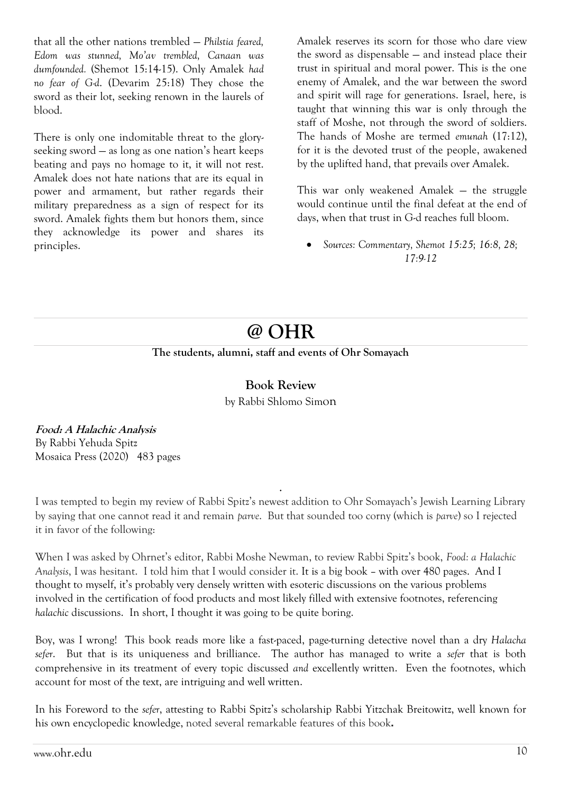that all the other nations trembled — *Philstia feared, Edom was stunned, Mo'av trembled, Canaan was dumfounded.* (Shemot 15:14-15). Only Amalek *had no fear of G-d*. (Devarim 25:18) They chose the sword as their lot, seeking renown in the laurels of blood.

There is only one indomitable threat to the gloryseeking sword — as long as one nation's heart keeps beating and pays no homage to it, it will not rest. Amalek does not hate nations that are its equal in power and armament, but rather regards their military preparedness as a sign of respect for its sword. Amalek fights them but honors them, since they acknowledge its power and shares its principles.

Amalek reserves its scorn for those who dare view the sword as dispensable — and instead place their trust in spiritual and moral power. This is the one enemy of Amalek, and the war between the sword and spirit will rage for generations. Israel, here, is taught that winning this war is only through the staff of Moshe, not through the sword of soldiers. The hands of Moshe are termed *emunah* (17:12), for it is the devoted trust of the people, awakened by the uplifted hand, that prevails over Amalek.

This war only weakened Amalek — the struggle would continue until the final defeat at the end of days, when that trust in G-d reaches full bloom.

 *Sources: Commentary, Shemot 15:25; 16:8, 28; 17:9-12*

# **@ OHR**

#### **The students, alumni, staff and events of Ohr Somayach**

**Book Review** by Rabbi Shlomo Simon

**Food: A Halachic Analysis** By Rabbi Yehuda Spitz Mosaica Press (2020) 483 pages

I was tempted to begin my review of Rabbi Spitz's newest addition to Ohr Somayach's Jewish Learning Library by saying that one cannot read it and remain *parve*. But that sounded too corny (which is *parve*) so I rejected it in favor of the following:

.

When I was asked by Ohrnet's editor, Rabbi Moshe Newman, to review Rabbi Spitz's book, *Food: a Halachic Analysis*, I was hesitant. I told him that I would consider it. It is a big book – with over 480 pages. And I thought to myself, it's probably very densely written with esoteric discussions on the various problems involved in the certification of food products and most likely filled with extensive footnotes, referencing *halachic* discussions. In short, I thought it was going to be quite boring.

Boy, was I wrong! This book reads more like a fast-paced, page-turning detective novel than a dry *Halacha sefer*. But that is its uniqueness and brilliance. The author has managed to write a *sefer* that is both comprehensive in its treatment of every topic discussed *and* excellently written. Even the footnotes, which account for most of the text, are intriguing and well written.

In his Foreword to the *sefer*, attesting to Rabbi Spitz's scholarship Rabbi Yitzchak Breitowitz, well known for his own encyclopedic knowledge, noted several remarkable features of this book**.**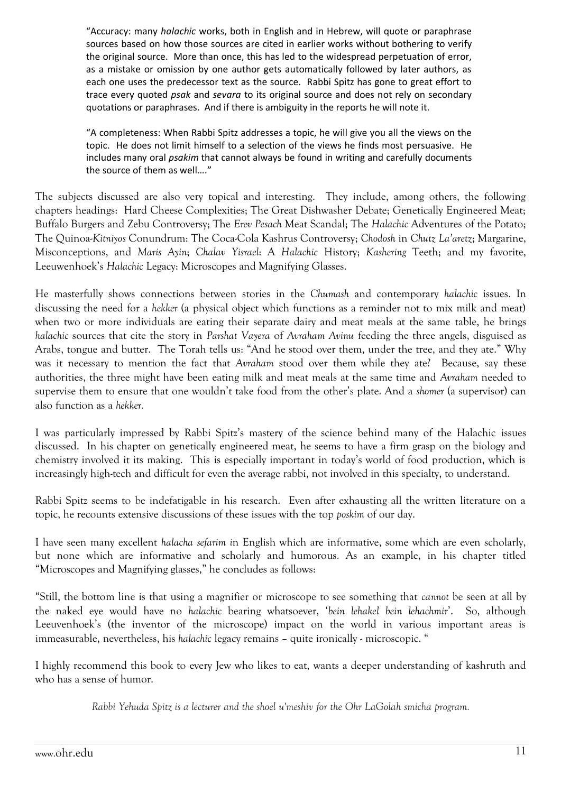"Accuracy: many *halachic* works, both in English and in Hebrew, will quote or paraphrase sources based on how those sources are cited in earlier works without bothering to verify the original source. More than once, this has led to the widespread perpetuation of error, as a mistake or omission by one author gets automatically followed by later authors, as each one uses the predecessor text as the source. Rabbi Spitz has gone to great effort to trace every quoted *psak* and *sevara* to its original source and does not rely on secondary quotations or paraphrases. And if there is ambiguity in the reports he will note it.

"A completeness: When Rabbi Spitz addresses a topic, he will give you all the views on the topic. He does not limit himself to a selection of the views he finds most persuasive. He includes many oral *psakim* that cannot always be found in writing and carefully documents the source of them as well…."

The subjects discussed are also very topical and interesting. They include, among others, the following chapters headings: Hard Cheese Complexities; The Great Dishwasher Debate; Genetically Engineered Meat; Buffalo Burgers and Zebu Controversy; The *Erev Pesach* Meat Scandal; The *Halachic* Adventures of the Potato; The Quinoa-*Kitniyos* Conundrum: The Coca-Cola Kashrus Controversy; *Chodosh* in *Chutz La'aretz*; Margarine, Misconceptions, and *Maris Ayin*; *Chalav Yisrael*: A *Halachic* History; *Kashering* Teeth; and my favorite, Leeuwenhoek's *Halachic* Legacy: Microscopes and Magnifying Glasses.

He masterfully shows connections between stories in the *Chumash* and contemporary *halachic* issues. In discussing the need for a *hekker* (a physical object which functions as a reminder not to mix milk and meat) when two or more individuals are eating their separate dairy and meat meals at the same table, he brings *halachic* sources that cite the story in *Parshat Vayera* of *Avraham Avinu* feeding the three angels, disguised as Arabs, tongue and butter. The Torah tells us: "And he stood over them, under the tree, and they ate." Why was it necessary to mention the fact that *Avraham* stood over them while they ate? Because, say these authorities, the three might have been eating milk and meat meals at the same time and *Avraham* needed to supervise them to ensure that one wouldn't take food from the other's plate. And a *shomer* (a supervisor) can also function as a *hekker.*

I was particularly impressed by Rabbi Spitz's mastery of the science behind many of the Halachic issues discussed. In his chapter on genetically engineered meat, he seems to have a firm grasp on the biology and chemistry involved it its making. This is especially important in today's world of food production, which is increasingly high-tech and difficult for even the average rabbi, not involved in this specialty, to understand.

Rabbi Spitz seems to be indefatigable in his research. Even after exhausting all the written literature on a topic, he recounts extensive discussions of these issues with the top *poskim* of our day.

I have seen many excellent *halacha sefarim i*n English which are informative, some which are even scholarly, but none which are informative and scholarly and humorous. As an example, in his chapter titled "Microscopes and Magnifying glasses," he concludes as follows:

"Still, the bottom line is that using a magnifier or microscope to see something that *cannot* be seen at all by the naked eye would have no *halachic* bearing whatsoever, '*bein lehakel bein lehachmir*'. So, although Leeuvenhoek's (the inventor of the microscope) impact on the world in various important areas is immeasurable, nevertheless, his *halachic* legacy remains – quite ironically - microscopic. "

I highly recommend this book to every Jew who likes to eat, wants a deeper understanding of kashruth and who has a sense of humor.

*Rabbi Yehuda Spitz is a lecturer and the shoel u'meshiv for the Ohr LaGolah smicha program.*